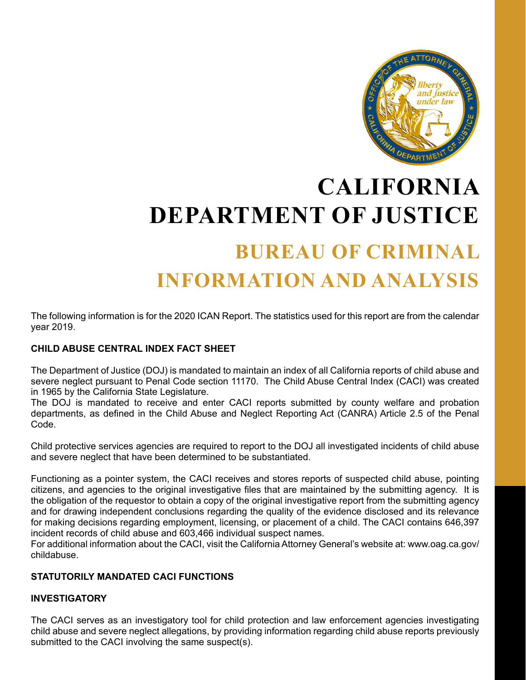

# **CALIFORNIA DEPARTMENT OF JUSTICE BUREAU OF CRIMINAL INFORMATION AND ANALYSIS**

The following information is for the 2020 ICAN Report. The statistics used for this report are from the calendar year 2019.

#### **CHILD ABUSE CENTRAL INDEX FACT SHEET**

The Department of Justice (DOJ) is mandated to maintain an index of all California reports of child abuse and severe neglect pursuant to Penal Code section 11170. The Child Abuse Central Index (CACI) was created in 1965 by the California State Legislature.

The DOJ is mandated to receive and enter CACI reports submitted by county welfare and probation departments, as defined in the Child Abuse and Neglect Reporting Act (CANRA) Article 2.5 of the Penal Code.

Child protective services agencies are required to report to the DOJ all investigated incidents of child abuse and severe neglect that have been determined to be substantiated.

Functioning as a pointer system, the CACI receives and stores reports of suspected child abuse, pointing citizens, and agencies to the original investigative files that are maintained by the submitting agency. It is the obligation of the requestor to obtain a copy of the original investigative report from the submitting agency and for drawing independent conclusions regarding the quality of the evidence disclosed and its relevance for making decisions regarding employment, licensing, or placement of a child. The CACI contains 646,397 incident records of child abuse and 603,466 individual suspect names.

For additional information about the CACI, visit the California Attorney General's website at: www.oag.ca.gov/ childabuse.

#### **STATUTORILY MANDATED CACI FUNCTIONS**

#### **INVESTIGATORY**

The CACI serves as an investigatory tool for child protection and law enforcement agencies investigating child abuse and severe neglect allegations, by providing information regarding child abuse reports previously submitted to the CACI involving the same suspect(s).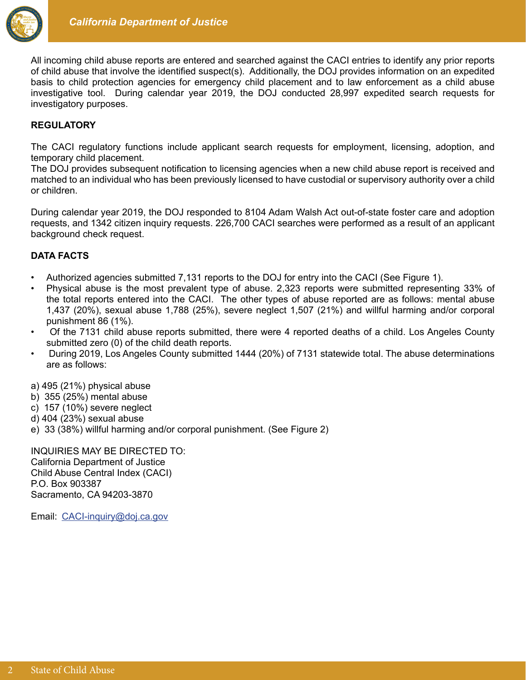

All incoming child abuse reports are entered and searched against the CACI entries to identify any prior reports of child abuse that involve the identified suspect(s). Additionally, the DOJ provides information on an expedited basis to child protection agencies for emergency child placement and to law enforcement as a child abuse investigative tool. During calendar year 2019, the DOJ conducted 28,997 expedited search requests for investigatory purposes.

#### **REGULATORY**

The CACI regulatory functions include applicant search requests for employment, licensing, adoption, and temporary child placement.

The DOJ provides subsequent notification to licensing agencies when a new child abuse report is received and matched to an individual who has been previously licensed to have custodial or supervisory authority over a child or children.

During calendar year 2019, the DOJ responded to 8104 Adam Walsh Act out-of-state foster care and adoption requests, and 1342 citizen inquiry requests. 226,700 CACI searches were performed as a result of an applicant background check request.

#### **DATA FACTS**

- Authorized agencies submitted 7,131 reports to the DOJ for entry into the CACI (See Figure 1).
- Physical abuse is the most prevalent type of abuse. 2,323 reports were submitted representing 33% of the total reports entered into the CACI. The other types of abuse reported are as follows: mental abuse 1,437 (20%), sexual abuse 1,788 (25%), severe neglect 1,507 (21%) and willful harming and/or corporal punishment 86 (1%).
- Of the 7131 child abuse reports submitted, there were 4 reported deaths of a child. Los Angeles County submitted zero (0) of the child death reports.
- During 2019, Los Angeles County submitted 1444 (20%) of 7131 statewide total. The abuse determinations are as follows:

a) 495 (21%) physical abuse

- b) 355 (25%) mental abuse
- c) 157 (10%) severe neglect
- d) 404 (23%) sexual abuse
- e) 33 (38%) willful harming and/or corporal punishment. (See Figure 2)

INQUIRIES MAY BE DIRECTED TO: California Department of Justice Child Abuse Central Index (CACI) P.O. Box 903387 Sacramento, CA 94203-3870

Email: CACI-inquiry@doj.ca.gov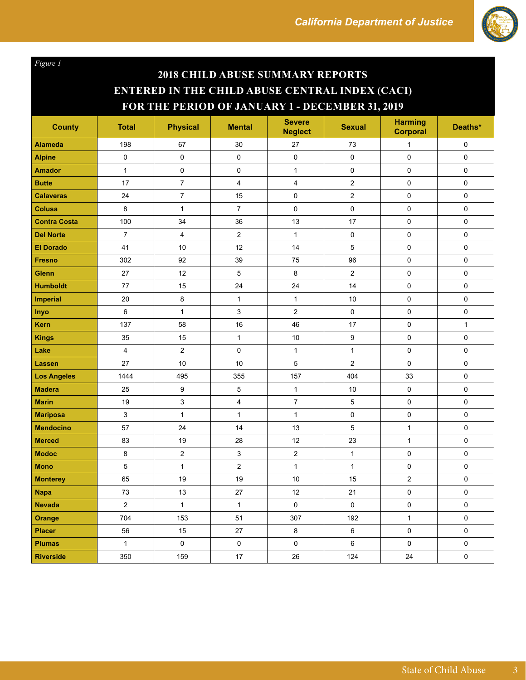

*Figure 1*

## **2018 CHILD ABUSE SUMMARY REPORTS ENTERED IN THE CHILD ABUSE CENTRAL INDEX (CACI) FOR THE PERIOD OF JANUARY 1 - DECEMBER 31, 2019**

| <b>County</b>       | <b>Total</b>     | <b>Physical</b>         | <b>Mental</b>             | <b>Severe</b><br><b>Neglect</b> | <b>Sexual</b>           | <b>Harming</b><br><b>Corporal</b> | Deaths*      |
|---------------------|------------------|-------------------------|---------------------------|---------------------------------|-------------------------|-----------------------------------|--------------|
| <b>Alameda</b>      | 198              | 67                      | 30                        | 27                              | 73                      | $\mathbf{1}$                      | 0            |
| <b>Alpine</b>       | $\pmb{0}$        | 0                       | $\pmb{0}$                 | $\pmb{0}$                       | $\mathbf 0$             | $\mathsf{O}\xspace$               | $\pmb{0}$    |
| <b>Amador</b>       | $\mathbf{1}$     | $\pmb{0}$               | $\pmb{0}$                 | $\mathbf{1}$                    | $\mathsf 0$             | $\pmb{0}$                         | $\pmb{0}$    |
| <b>Butte</b>        | 17               | $\overline{7}$          | $\overline{4}$            | $\overline{\mathbf{4}}$         | $\overline{c}$          | $\pmb{0}$                         | $\pmb{0}$    |
| <b>Calaveras</b>    | 24               | $\boldsymbol{7}$        | 15                        | $\pmb{0}$                       | $\overline{\mathbf{c}}$ | 0                                 | $\pmb{0}$    |
| Colusa              | 8                | $\mathbf{1}$            | $\overline{7}$            | $\mathsf 0$                     | 0                       | 0                                 | $\pmb{0}$    |
| <b>Contra Costa</b> | 100              | 34                      | 36                        | 13                              | 17                      | $\mathbf 0$                       | $\pmb{0}$    |
| <b>Del Norte</b>    | $\boldsymbol{7}$ | $\overline{\mathbf{4}}$ | $\mathbf 2$               | $\mathbf{1}$                    | 0                       | $\pmb{0}$                         | $\pmb{0}$    |
| <b>El Dorado</b>    | 41               | 10                      | 12                        | 14                              | 5                       | 0                                 | 0            |
| <b>Fresno</b>       | 302              | 92                      | 39                        | 75                              | 96                      | $\pmb{0}$                         | $\pmb{0}$    |
| <b>Glenn</b>        | 27               | 12                      | $\mathbf 5$               | 8                               | $\overline{c}$          | $\pmb{0}$                         | $\pmb{0}$    |
| <b>Humboldt</b>     | 77               | 15                      | 24                        | 24                              | 14                      | $\mathbf 0$                       | 0            |
| <b>Imperial</b>     | 20               | $\bf 8$                 | $\mathbf{1}$              | $\mathbf{1}$                    | 10                      | $\mathsf 0$                       | $\pmb{0}$    |
| Inyo                | $\,6$            | $\mathbf{1}$            | 3                         | $\boldsymbol{2}$                | 0                       | $\mathbf 0$                       | $\pmb{0}$    |
| Kern                | 137              | 58                      | 16                        | 46                              | 17                      | $\pmb{0}$                         | $\mathbf{1}$ |
| <b>Kings</b>        | 35               | 15                      | $\mathbf{1}$              | 10                              | 9                       | $\pmb{0}$                         | $\pmb{0}$    |
| Lake                | $\overline{4}$   | $\overline{\mathbf{c}}$ | $\pmb{0}$                 | $\mathbf{1}$                    | $\mathbf{1}$            | $\pmb{0}$                         | 0            |
| Lassen              | 27               | 10                      | 10                        | $\overline{5}$                  | $\overline{c}$          | $\mathbf 0$                       | $\mathsf 0$  |
| <b>Los Angeles</b>  | 1444             | 495                     | 355                       | 157                             | 404                     | 33                                | $\mathbf 0$  |
| <b>Madera</b>       | 25               | 9                       | 5                         | $\mathbf{1}$                    | 10                      | $\pmb{0}$                         | $\mathbf 0$  |
| <b>Marin</b>        | 19               | 3                       | $\overline{\mathbf{4}}$   | $\overline{7}$                  | 5                       | $\mathbf 0$                       | 0            |
| <b>Mariposa</b>     | $\mathsf 3$      | $\mathbf{1}$            | $\mathbf{1}$              | $\mathbf{1}$                    | 0                       | $\pmb{0}$                         | $\pmb{0}$    |
| <b>Mendocino</b>    | 57               | 24                      | 14                        | 13                              | 5                       | $\mathbf{1}$                      | $\pmb{0}$    |
| <b>Merced</b>       | 83               | 19                      | 28                        | 12                              | 23                      | 1                                 | $\pmb{0}$    |
| <b>Modoc</b>        | $\bf 8$          | $\overline{c}$          | $\ensuremath{\mathsf{3}}$ | $\mathbf 2$                     | $\mathbf{1}$            | $\pmb{0}$                         | $\pmb{0}$    |
| <b>Mono</b>         | 5                | $\mathbf{1}$            | $\overline{2}$            | $\mathbf{1}$                    | $\mathbf{1}$            | 0                                 | 0            |
| <b>Monterey</b>     | 65               | 19                      | 19                        | 10                              | 15                      | $\overline{2}$                    | $\mathsf 0$  |
| <b>Napa</b>         | 73               | 13                      | 27                        | 12                              | 21                      | 0                                 | $\pmb{0}$    |
| <b>Nevada</b>       | $\mathbf{2}$     | $\mathbf{1}$            | $\mathbf{1}$              | $\pmb{0}$                       | $\pmb{0}$               | 0                                 | $\mathbf 0$  |
| <b>Orange</b>       | 704              | 153                     | 51                        | 307                             | 192                     | $\mathbf{1}$                      | $\mathsf 0$  |
| <b>Placer</b>       | 56               | 15                      | 27                        | 8                               | 6                       | $\pmb{0}$                         | $\pmb{0}$    |
| <b>Plumas</b>       | $\mathbf{1}$     | $\mathbf 0$             | $\pmb{0}$                 | $\pmb{0}$                       | 6                       | $\pmb{0}$                         | $\mathbf 0$  |
| <b>Riverside</b>    | 350              | 159                     | 17                        | 26                              | 124                     | 24                                | $\mathbf 0$  |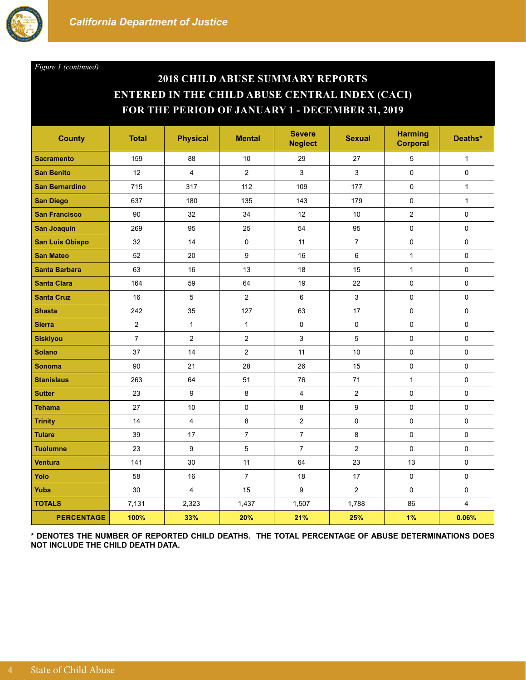

*Figure 1 (continued)*

### **2018 CHILD ABUSE SUMMARY REPORTS ENTERED IN THE CHILD ABUSE CENTRAL INDEX (CACI) FOR THE PERIOD OF JANUARY 1 - DECEMBER 31, 2019**

| <b>County</b>          | <b>Total</b>   | <b>Physical</b> | <b>Mental</b>  | <b>Severe</b><br><b>Neglect</b> | <b>Sexual</b>    | <b>Harming</b><br><b>Corporal</b> | Deaths*      |
|------------------------|----------------|-----------------|----------------|---------------------------------|------------------|-----------------------------------|--------------|
| <b>Sacramento</b>      | 159            | 88              | 10             | 29                              | 27               | 5                                 | $\mathbf{1}$ |
| <b>San Benito</b>      | 12             | 4               | $\overline{2}$ | 3                               | 3                | 0                                 | $\mathbf 0$  |
| <b>San Bernardino</b>  | 715            | 317             | 112            | 109                             | 177              | $\pmb{0}$                         | $\mathbf{1}$ |
| <b>San Diego</b>       | 637            | 180             | 135            | 143                             | 179              | $\mathbf 0$                       | $\mathbf{1}$ |
| <b>San Francisco</b>   | 90             | 32              | 34             | 12                              | 10               | $\overline{c}$                    | $\mathbf 0$  |
| <b>San Joaquin</b>     | 269            | 95              | 25             | 54                              | 95               | 0                                 | $\pmb{0}$    |
| <b>San Luis Obispo</b> | 32             | 14              | $\mathbf 0$    | 11                              | $\overline{7}$   | 0                                 | $\pmb{0}$    |
| <b>San Mateo</b>       | 52             | 20              | 9              | 16                              | $\,6\,$          | $\mathbf{1}$                      | $\pmb{0}$    |
| <b>Santa Barbara</b>   | 63             | 16              | 13             | 18                              | 15               | $\mathbf{1}$                      | 0            |
| <b>Santa Clara</b>     | 164            | 59              | 64             | 19                              | 22               | $\mathbf 0$                       | $\mathbf 0$  |
| <b>Santa Cruz</b>      | 16             | 5               | $\overline{2}$ | 6                               | 3                | $\pmb{0}$                         | $\pmb{0}$    |
| <b>Shasta</b>          | 242            | 35              | 127            | 63                              | 17               | $\mathbf 0$                       | 0            |
| <b>Sierra</b>          | $\overline{2}$ | $\mathbf{1}$    | $\mathbf{1}$   | 0                               | 0                | $\mathbf 0$                       | 0            |
| <b>Siskiyou</b>        | $\overline{7}$ | $\overline{2}$  | $\overline{2}$ | 3                               | 5                | $\pmb{0}$                         | 0            |
| <b>Solano</b>          | 37             | 14              | $\overline{2}$ | 11                              | 10               | $\pmb{0}$                         | 0            |
| <b>Sonoma</b>          | 90             | 21              | 28             | 26                              | 15               | $\pmb{0}$                         | $\mathbf 0$  |
| <b>Stanislaus</b>      | 263            | 64              | 51             | 76                              | 71               | $\mathbf{1}$                      | 0            |
| <b>Sutter</b>          | 23             | 9               | 8              | $\overline{4}$                  | $\overline{c}$   | $\mathsf 0$                       | 0            |
| <b>Tehama</b>          | 27             | 10              | $\pmb{0}$      | 8                               | 9                | $\pmb{0}$                         | $\pmb{0}$    |
| <b>Trinity</b>         | 14             | $\overline{4}$  | 8              | $\overline{2}$                  | $\pmb{0}$        | 0                                 | 0            |
| <b>Tulare</b>          | 39             | 17              | $\overline{7}$ | $\overline{7}$                  | 8                | $\mathsf 0$                       | 0            |
| <b>Tuolumne</b>        | 23             | 9               | $\mathbf 5$    | $\overline{7}$                  | $\boldsymbol{2}$ | $\pmb{0}$                         | 0            |
| <b>Ventura</b>         | 141            | 30              | 11             | 64                              | 23               | 13                                | 0            |
| Yolo                   | 58             | 16              | $\overline{7}$ | 18                              | 17               | $\pmb{0}$                         | 0            |
| Yuba                   | 30             | 4               | 15             | 9                               | 2                | $\mathsf 0$                       | 0            |
| <b>TOTALS</b>          | 7,131          | 2,323           | 1,437          | 1,507                           | 1,788            | 86                                | 4            |
| <b>PERCENTAGE</b>      | 100%           | 33%             | 20%            | 21%                             | 25%              | 1%                                | 0.06%        |

**\* DENOTES THE NUMBER OF REPORTED CHILD DEATHS. THE TOTAL PERCENTAGE OF ABUSE DETERMINATIONS DOES NOT INCLUDE THE CHILD DEATH DATA.**